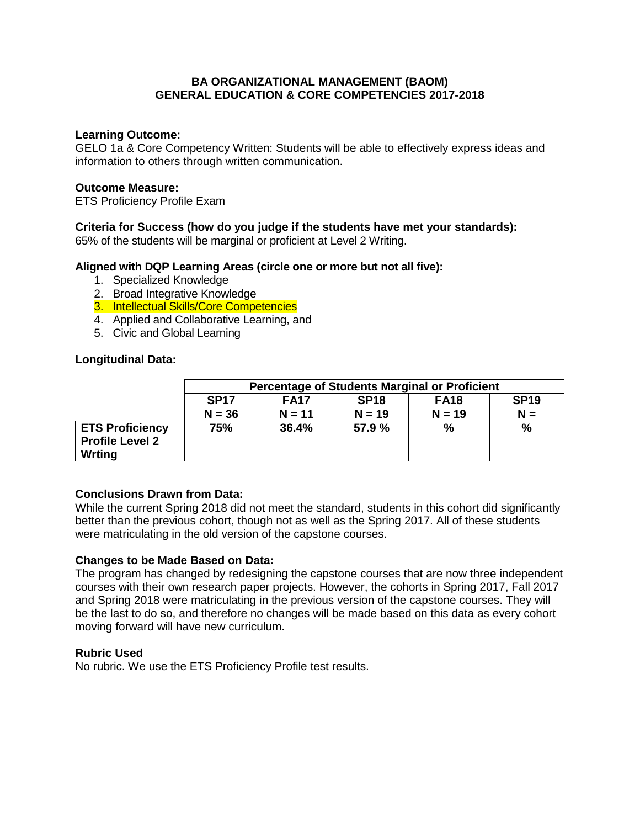## **BA ORGANIZATIONAL MANAGEMENT (BAOM) GENERAL EDUCATION & CORE COMPETENCIES 2017-2018**

#### **Learning Outcome:**

GELO 1a & Core Competency Written: Students will be able to effectively express ideas and information to others through written communication.

## **Outcome Measure:**

ETS Proficiency Profile Exam

## **Criteria for Success (how do you judge if the students have met your standards):**

65% of the students will be marginal or proficient at Level 2 Writing.

## **Aligned with DQP Learning Areas (circle one or more but not all five):**

- 1. Specialized Knowledge
- 2. Broad Integrative Knowledge
- 3. Intellectual Skills/Core Competencies
- 4. Applied and Collaborative Learning, and
- 5. Civic and Global Learning

## **Longitudinal Data:**

|                                                            | <b>Percentage of Students Marginal or Proficient</b>                         |          |          |          |       |  |  |  |
|------------------------------------------------------------|------------------------------------------------------------------------------|----------|----------|----------|-------|--|--|--|
|                                                            | <b>SP19</b><br><b>SP17</b><br><b>FA17</b><br>SP <sub>18</sub><br><b>FA18</b> |          |          |          |       |  |  |  |
|                                                            | $N = 36$                                                                     | $N = 11$ | $N = 19$ | $N = 19$ | $N =$ |  |  |  |
| <b>ETS Proficiency</b><br><b>Profile Level 2</b><br>Wrting | 75%                                                                          | 36.4%    | 57.9 %   | %        | %     |  |  |  |

## **Conclusions Drawn from Data:**

While the current Spring 2018 did not meet the standard, students in this cohort did significantly better than the previous cohort, though not as well as the Spring 2017. All of these students were matriculating in the old version of the capstone courses.

#### **Changes to be Made Based on Data:**

The program has changed by redesigning the capstone courses that are now three independent courses with their own research paper projects. However, the cohorts in Spring 2017, Fall 2017 and Spring 2018 were matriculating in the previous version of the capstone courses. They will be the last to do so, and therefore no changes will be made based on this data as every cohort moving forward will have new curriculum.

#### **Rubric Used**

No rubric. We use the ETS Proficiency Profile test results.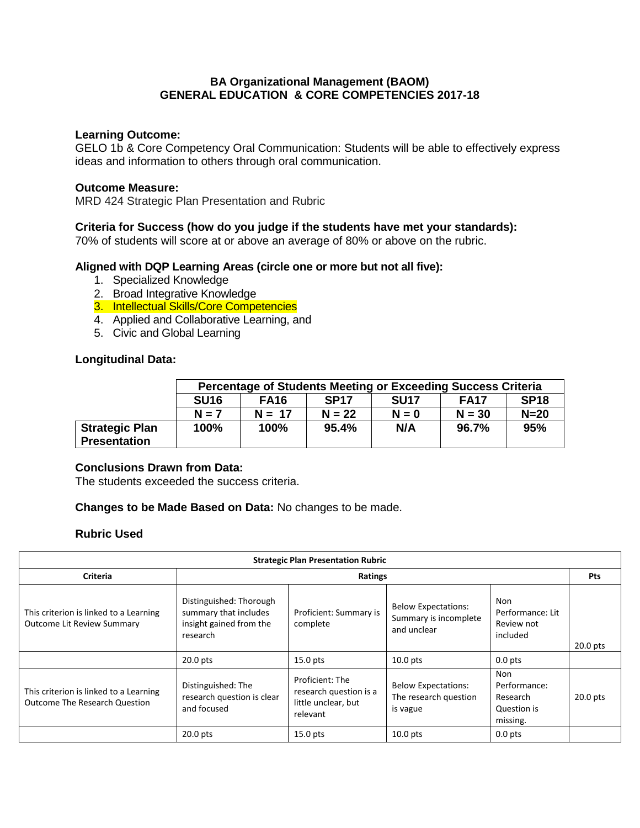## **BA Organizational Management (BAOM) GENERAL EDUCATION & CORE COMPETENCIES 2017-18**

#### **Learning Outcome:**

GELO 1b & Core Competency Oral Communication: Students will be able to effectively express ideas and information to others through oral communication.

#### **Outcome Measure:**

MRD 424 Strategic Plan Presentation and Rubric

#### **Criteria for Success (how do you judge if the students have met your standards):**

70% of students will score at or above an average of 80% or above on the rubric.

#### **Aligned with DQP Learning Areas (circle one or more but not all five):**

- 1. Specialized Knowledge
- 2. Broad Integrative Knowledge
- 3. Intellectual Skills/Core Competencies
- 4. Applied and Collaborative Learning, and
- 5. Civic and Global Learning

#### **Longitudinal Data:**

|                                              | <b>Percentage of Students Meeting or Exceeding Success Criteria</b> |             |             |             |             |             |  |  |
|----------------------------------------------|---------------------------------------------------------------------|-------------|-------------|-------------|-------------|-------------|--|--|
|                                              | <b>SU16</b>                                                         | <b>FA16</b> | <b>SP17</b> | <b>SU17</b> | <b>FA17</b> | <b>SP18</b> |  |  |
|                                              | $N = 7$                                                             | $N = 17$    | $N = 22$    | $N = 0$     | $N = 30$    | $N=20$      |  |  |
| <b>Strategic Plan</b><br><b>Presentation</b> | 100%                                                                | 100%        | 95.4%       | N/A         | 96.7%       | 95%         |  |  |

#### **Conclusions Drawn from Data:**

The students exceeded the success criteria.

#### **Changes to be Made Based on Data:** No changes to be made.

#### **Rubric Used**

| <b>Strategic Plan Presentation Rubric</b>                                      |                                                                                         |                                                                              |                                                                    |                                                                   |            |  |  |  |
|--------------------------------------------------------------------------------|-----------------------------------------------------------------------------------------|------------------------------------------------------------------------------|--------------------------------------------------------------------|-------------------------------------------------------------------|------------|--|--|--|
| Criteria                                                                       | Ratings                                                                                 |                                                                              |                                                                    |                                                                   |            |  |  |  |
| This criterion is linked to a Learning<br><b>Outcome Lit Review Summary</b>    | Distinguished: Thorough<br>summary that includes<br>insight gained from the<br>research | Proficient: Summary is<br>complete                                           | <b>Below Expectations:</b><br>Summary is incomplete<br>and unclear | Non<br>Performance: Lit<br>Review not<br>included                 | $20.0$ pts |  |  |  |
|                                                                                | $20.0$ pts                                                                              | $15.0$ pts                                                                   | $10.0$ pts                                                         | $0.0$ pts                                                         |            |  |  |  |
| This criterion is linked to a Learning<br><b>Outcome The Research Question</b> | Distinguished: The<br>research question is clear<br>and focused                         | Proficient: The<br>research question is a<br>little unclear, but<br>relevant | <b>Below Expectations:</b><br>The research question<br>is vague    | <b>Non</b><br>Performance:<br>Research<br>Question is<br>missing. | $20.0$ pts |  |  |  |
|                                                                                | $20.0$ pts                                                                              | $15.0$ pts                                                                   | $10.0$ pts                                                         | $0.0$ pts                                                         |            |  |  |  |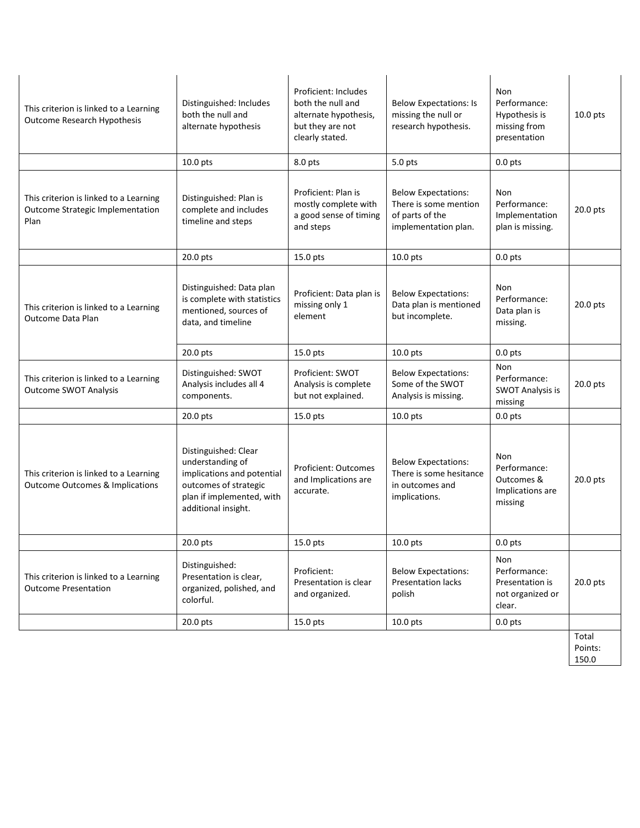| This criterion is linked to a Learning<br>Outcome Research Hypothesis                                                                                      | Distinguished: Includes<br>both the null and<br>alternate hypothesis                                                                                |                                                                                                                                          | <b>Below Expectations: Is</b><br>missing the null or<br>research hypothesis.                   | Non<br>Performance:<br>Hypothesis is<br>missing from<br>presentation    | $10.0$ pts       |
|------------------------------------------------------------------------------------------------------------------------------------------------------------|-----------------------------------------------------------------------------------------------------------------------------------------------------|------------------------------------------------------------------------------------------------------------------------------------------|------------------------------------------------------------------------------------------------|-------------------------------------------------------------------------|------------------|
|                                                                                                                                                            | 10.0 pts                                                                                                                                            | 8.0 pts                                                                                                                                  | 5.0 pts                                                                                        | $0.0$ pts                                                               |                  |
| This criterion is linked to a Learning<br>Outcome Strategic Implementation<br>Plan                                                                         | Distinguished: Plan is<br>complete and includes<br>timeline and steps                                                                               | Proficient: Plan is<br>mostly complete with<br>a good sense of timing<br>and steps                                                       | <b>Below Expectations:</b><br>There is some mention<br>of parts of the<br>implementation plan. | Non<br>Performance:<br>Implementation<br>plan is missing.               | 20.0 pts         |
|                                                                                                                                                            | 20.0 pts                                                                                                                                            | 15.0 pts                                                                                                                                 | 10.0 pts                                                                                       | $0.0$ pts                                                               |                  |
| This criterion is linked to a Learning<br>Outcome Data Plan                                                                                                | Distinguished: Data plan<br>is complete with statistics<br>mentioned, sources of<br>data, and timeline                                              | Proficient: Data plan is<br>missing only 1<br>element                                                                                    | <b>Below Expectations:</b><br>Data plan is mentioned<br>but incomplete.                        | Non<br>Performance:<br>Data plan is<br>missing.                         | 20.0 pts         |
|                                                                                                                                                            | $20.0$ pts                                                                                                                                          | $15.0$ pts                                                                                                                               | $10.0$ pts                                                                                     | $0.0$ pts                                                               |                  |
| Distinguished: SWOT<br>This criterion is linked to a Learning<br>Analysis includes all 4<br><b>Outcome SWOT Analysis</b><br>components.                    |                                                                                                                                                     | Proficient: SWOT<br><b>Below Expectations:</b><br>Some of the SWOT<br>Analysis is complete<br>but not explained.<br>Analysis is missing. |                                                                                                | <b>Non</b><br>Performance:<br><b>SWOT Analysis is</b><br>missing        | 20.0 pts         |
|                                                                                                                                                            | 20.0 pts                                                                                                                                            | 15.0 pts                                                                                                                                 | 10.0 pts                                                                                       | $0.0$ pts                                                               |                  |
| This criterion is linked to a Learning<br><b>Outcome Outcomes &amp; Implications</b>                                                                       | Distinguished: Clear<br>understanding of<br>implications and potential<br>outcomes of strategic<br>plan if implemented, with<br>additional insight. | <b>Proficient: Outcomes</b><br>and Implications are<br>accurate.                                                                         | <b>Below Expectations:</b><br>There is some hesitance<br>in outcomes and<br>implications.      | <b>Non</b><br>Performance:<br>Outcomes &<br>Implications are<br>missing | 20.0 pts         |
|                                                                                                                                                            | 20.0 pts                                                                                                                                            | 15.0 pts                                                                                                                                 | 10.0 pts                                                                                       | $0.0$ pts                                                               |                  |
| Distinguished:<br>Presentation is clear,<br>This criterion is linked to a Learning<br><b>Outcome Presentation</b><br>organized, polished, and<br>colorful. |                                                                                                                                                     | Proficient:<br>Presentation is clear<br>and organized.                                                                                   | <b>Below Expectations:</b><br><b>Presentation lacks</b><br>polish                              | Non<br>Performance:<br>Presentation is<br>not organized or<br>clear.    | 20.0 pts         |
|                                                                                                                                                            | 20.0 pts                                                                                                                                            | 15.0 pts                                                                                                                                 | 10.0 pts                                                                                       | $0.0$ pts                                                               |                  |
|                                                                                                                                                            |                                                                                                                                                     |                                                                                                                                          |                                                                                                |                                                                         | Total<br>Points: |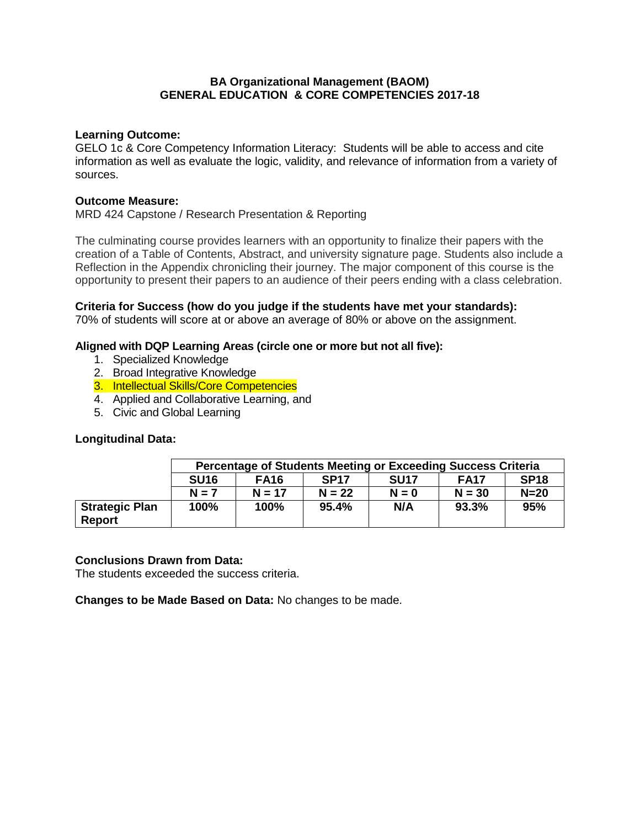## **BA Organizational Management (BAOM) GENERAL EDUCATION & CORE COMPETENCIES 2017-18**

## **Learning Outcome:**

GELO 1c & Core Competency Information Literacy: Students will be able to access and cite information as well as evaluate the logic, validity, and relevance of information from a variety of sources.

#### **Outcome Measure:**

MRD 424 Capstone / Research Presentation & Reporting

The culminating course provides learners with an opportunity to finalize their papers with the creation of a Table of Contents, Abstract, and university signature page. Students also include a Reflection in the Appendix chronicling their journey. The major component of this course is the opportunity to present their papers to an audience of their peers ending with a class celebration.

## **Criteria for Success (how do you judge if the students have met your standards):**

70% of students will score at or above an average of 80% or above on the assignment.

## **Aligned with DQP Learning Areas (circle one or more but not all five):**

- 1. Specialized Knowledge
- 2. Broad Integrative Knowledge
- 3. Intellectual Skills/Core Competencies
- 4. Applied and Collaborative Learning, and
- 5. Civic and Global Learning

## **Longitudinal Data:**

|                                        | Percentage of Students Meeting or Exceeding Success Criteria |             |             |             |             |             |  |  |
|----------------------------------------|--------------------------------------------------------------|-------------|-------------|-------------|-------------|-------------|--|--|
|                                        | <b>SU16</b>                                                  | <b>FA16</b> | <b>SP17</b> | <b>SU17</b> | <b>FA17</b> | <b>SP18</b> |  |  |
|                                        | $N = 7$                                                      | $N = 17$    | $N = 22$    | $N = 0$     | $N = 30$    | $N=20$      |  |  |
| <b>Strategic Plan</b><br><b>Report</b> | 100%                                                         | 100%        | 95.4%       | N/A         | 93.3%       | 95%         |  |  |

#### **Conclusions Drawn from Data:**

The students exceeded the success criteria.

**Changes to be Made Based on Data:** No changes to be made.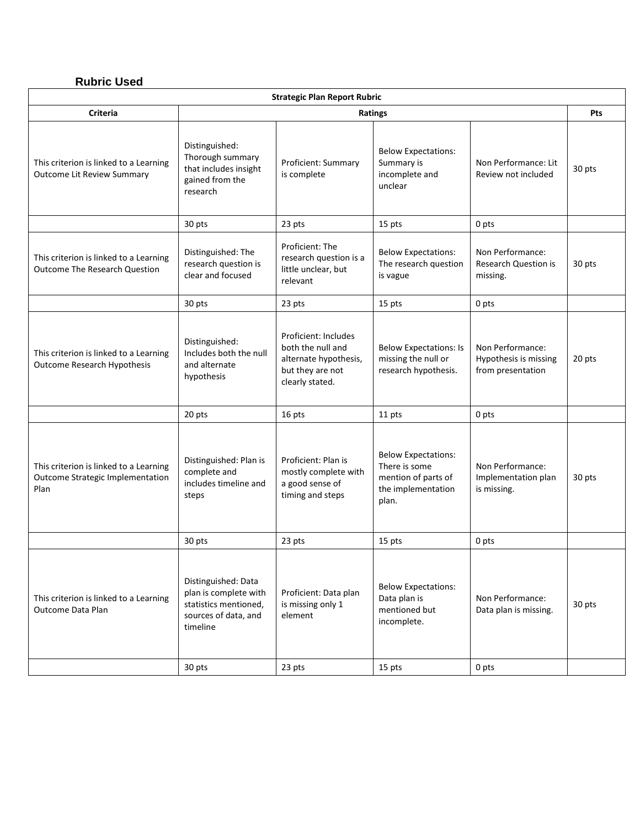# **Rubric Used**

| <b>Strategic Plan Report Rubric</b>                                                |                                                                                                           |                                                                                                           |                                                                                                   |                                                                |            |  |  |
|------------------------------------------------------------------------------------|-----------------------------------------------------------------------------------------------------------|-----------------------------------------------------------------------------------------------------------|---------------------------------------------------------------------------------------------------|----------------------------------------------------------------|------------|--|--|
| <b>Criteria</b>                                                                    |                                                                                                           |                                                                                                           | Ratings                                                                                           |                                                                | <b>Pts</b> |  |  |
| This criterion is linked to a Learning<br>Outcome Lit Review Summary               | Distinguished:<br>Thorough summary<br>that includes insight<br>gained from the<br>research                | Proficient: Summary<br>is complete                                                                        | <b>Below Expectations:</b><br>Summary is<br>incomplete and<br>unclear                             | Non Performance: Lit<br>Review not included                    | 30 pts     |  |  |
|                                                                                    | 30 pts                                                                                                    | 23 pts                                                                                                    | 15 pts                                                                                            | 0 pts                                                          |            |  |  |
| This criterion is linked to a Learning<br><b>Outcome The Research Question</b>     | Distinguished: The<br>research question is<br>clear and focused                                           | Proficient: The<br>research question is a<br>little unclear, but<br>relevant                              | <b>Below Expectations:</b><br>The research question<br>is vague                                   | Non Performance:<br><b>Research Question is</b><br>missing.    | 30 pts     |  |  |
|                                                                                    | 30 pts                                                                                                    | 23 pts                                                                                                    | 15 pts                                                                                            | 0 pts                                                          |            |  |  |
| This criterion is linked to a Learning<br><b>Outcome Research Hypothesis</b>       | Distinguished:<br>Includes both the null<br>and alternate<br>hypothesis                                   | Proficient: Includes<br>both the null and<br>alternate hypothesis,<br>but they are not<br>clearly stated. | <b>Below Expectations: Is</b><br>missing the null or<br>research hypothesis.                      | Non Performance:<br>Hypothesis is missing<br>from presentation | 20 pts     |  |  |
|                                                                                    | 20 pts                                                                                                    | 16 pts                                                                                                    | 11 pts                                                                                            | 0 pts                                                          |            |  |  |
| This criterion is linked to a Learning<br>Outcome Strategic Implementation<br>Plan | Distinguished: Plan is<br>complete and<br>includes timeline and<br>steps                                  | Proficient: Plan is<br>mostly complete with<br>a good sense of<br>timing and steps                        | <b>Below Expectations:</b><br>There is some<br>mention of parts of<br>the implementation<br>plan. | Non Performance:<br>Implementation plan<br>is missing.         | 30 pts     |  |  |
|                                                                                    | 30 pts                                                                                                    | 23 pts                                                                                                    | 15 pts                                                                                            | 0 pts                                                          |            |  |  |
| This criterion is linked to a Learning<br>Outcome Data Plan                        | Distinguished: Data<br>plan is complete with<br>statistics mentioned,<br>sources of data, and<br>timeline | Proficient: Data plan<br>is missing only 1<br>element                                                     | <b>Below Expectations:</b><br>Data plan is<br>mentioned but<br>incomplete.                        | Non Performance:<br>Data plan is missing.                      | 30 pts     |  |  |
|                                                                                    | 30 pts                                                                                                    | 23 pts                                                                                                    | 15 pts                                                                                            | 0 pts                                                          |            |  |  |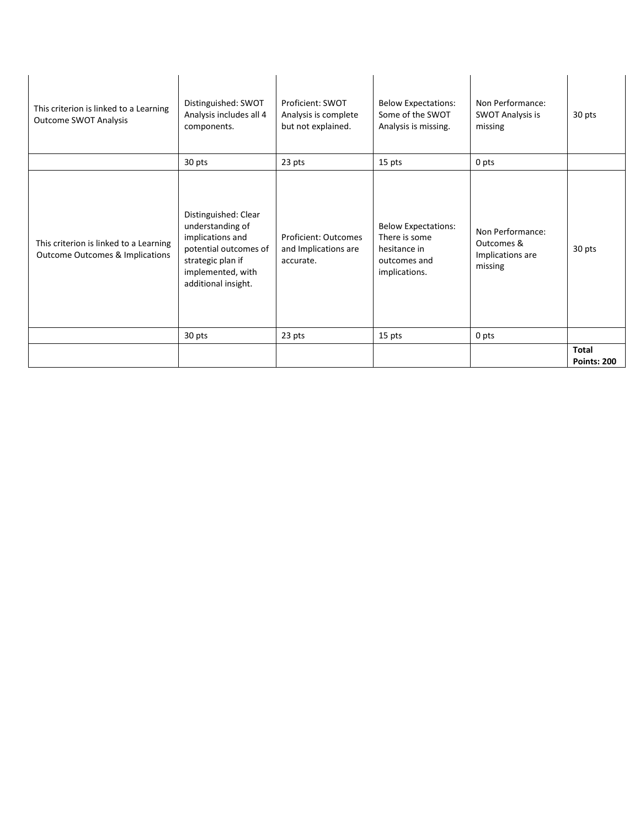| This criterion is linked to a Learning<br><b>Outcome SWOT Analysis</b>               | Distinguished: SWOT<br>Analysis includes all 4<br>components.                                                                                          | Proficient: SWOT<br>Analysis is complete<br>but not explained.   | <b>Below Expectations:</b><br>Some of the SWOT<br>Analysis is missing.                       | Non Performance:<br><b>SWOT Analysis is</b><br>missing        | 30 pts                             |
|--------------------------------------------------------------------------------------|--------------------------------------------------------------------------------------------------------------------------------------------------------|------------------------------------------------------------------|----------------------------------------------------------------------------------------------|---------------------------------------------------------------|------------------------------------|
|                                                                                      | 30 pts                                                                                                                                                 | 23 pts                                                           | 15 pts                                                                                       | 0 pts                                                         |                                    |
| This criterion is linked to a Learning<br><b>Outcome Outcomes &amp; Implications</b> | Distinguished: Clear<br>understanding of<br>implications and<br>potential outcomes of<br>strategic plan if<br>implemented, with<br>additional insight. | <b>Proficient: Outcomes</b><br>and Implications are<br>accurate. | <b>Below Expectations:</b><br>There is some<br>hesitance in<br>outcomes and<br>implications. | Non Performance:<br>Outcomes &<br>Implications are<br>missing | 30 pts                             |
|                                                                                      | 30 pts                                                                                                                                                 | 23 pts                                                           | 15 pts                                                                                       | 0 pts                                                         |                                    |
|                                                                                      |                                                                                                                                                        |                                                                  |                                                                                              |                                                               | <b>Total</b><br><b>Points: 200</b> |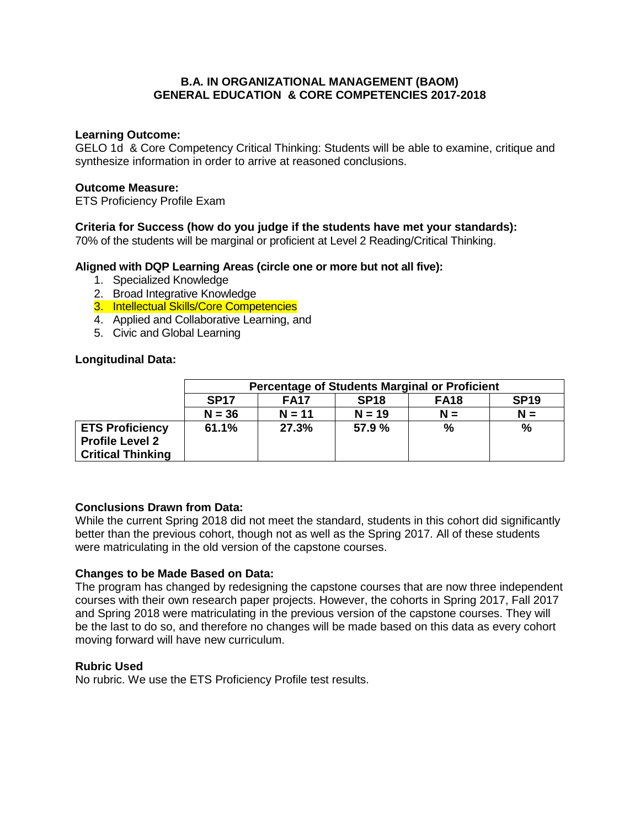## **B.A. IN ORGANIZATIONAL MANAGEMENT (BAOM) GENERAL EDUCATION & CORE COMPETENCIES 2017-2018**

### **Learning Outcome:**

GELO 1d & Core Competency Critical Thinking: Students will be able to examine, critique and synthesize information in order to arrive at reasoned conclusions.

## **Outcome Measure:**

ETS Proficiency Profile Exam

## **Criteria for Success (how do you judge if the students have met your standards):**

70% of the students will be marginal or proficient at Level 2 Reading/Critical Thinking.

## **Aligned with DQP Learning Areas (circle one or more but not all five):**

- 1. Specialized Knowledge
- 2. Broad Integrative Knowledge
- 3. Intellectual Skills/Core Competencies
- 4. Applied and Collaborative Learning, and
- 5. Civic and Global Learning

## **Longitudinal Data:**

|                          | <b>Percentage of Students Marginal or Proficient</b>                    |          |          |       |       |  |  |  |
|--------------------------|-------------------------------------------------------------------------|----------|----------|-------|-------|--|--|--|
|                          | <b>SP19</b><br><b>SP17</b><br><b>SP18</b><br><b>FA17</b><br><b>FA18</b> |          |          |       |       |  |  |  |
|                          | $N = 36$                                                                | $N = 11$ | $N = 19$ | $N =$ | $N =$ |  |  |  |
| <b>ETS Proficiency</b>   | 61.1%                                                                   | 27.3%    | 57.9 %   | %     | %     |  |  |  |
| <b>Profile Level 2</b>   |                                                                         |          |          |       |       |  |  |  |
| <b>Critical Thinking</b> |                                                                         |          |          |       |       |  |  |  |

#### **Conclusions Drawn from Data:**

While the current Spring 2018 did not meet the standard, students in this cohort did significantly better than the previous cohort, though not as well as the Spring 2017. All of these students were matriculating in the old version of the capstone courses.

#### **Changes to be Made Based on Data:**

The program has changed by redesigning the capstone courses that are now three independent courses with their own research paper projects. However, the cohorts in Spring 2017, Fall 2017 and Spring 2018 were matriculating in the previous version of the capstone courses. They will be the last to do so, and therefore no changes will be made based on this data as every cohort moving forward will have new curriculum.

#### **Rubric Used**

No rubric. We use the ETS Proficiency Profile test results.